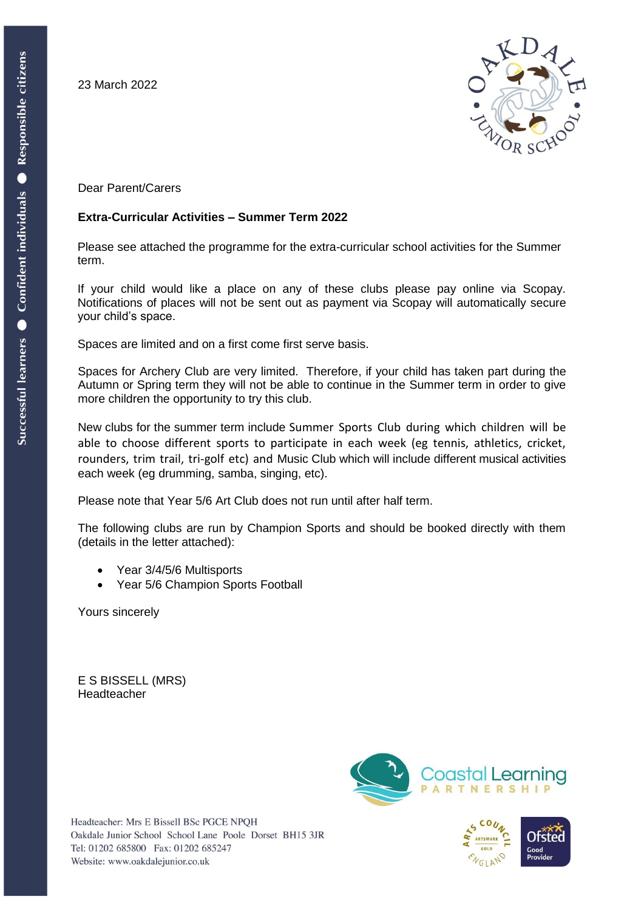23 March 2022



Dear Parent/Carers

## **Extra-Curricular Activities – Summer Term 2022**

Please see attached the programme for the extra-curricular school activities for the Summer term.

If your child would like a place on any of these clubs please pay online via Scopay. Notifications of places will not be sent out as payment via Scopay will automatically secure your child's space.

Spaces are limited and on a first come first serve basis.

Spaces for Archery Club are very limited. Therefore, if your child has taken part during the Autumn or Spring term they will not be able to continue in the Summer term in order to give more children the opportunity to try this club.

New clubs for the summer term include Summer Sports Club during which children will be able to choose different sports to participate in each week (eg tennis, athletics, cricket, rounders, trim trail, tri-golf etc) and Music Club which will include different musical activities each week (eg drumming, samba, singing, etc).

Please note that Year 5/6 Art Club does not run until after half term.

The following clubs are run by Champion Sports and should be booked directly with them (details in the letter attached):

- Year 3/4/5/6 Multisports
- Year 5/6 Champion Sports Football

Yours sincerely

E S BISSELL (MRS) Headteacher